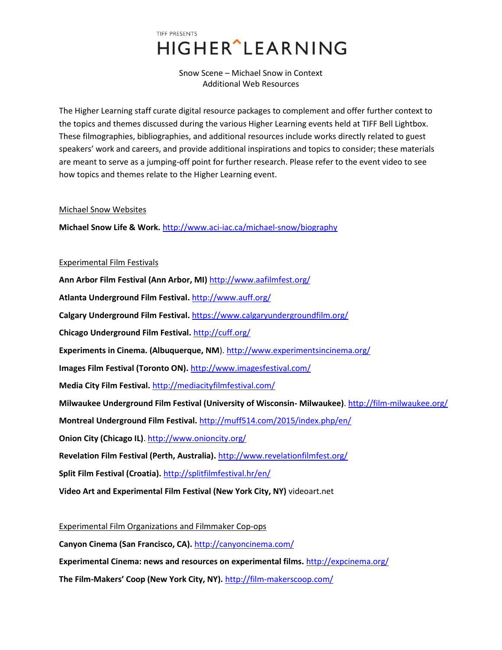# TIFF PRESENTS **HIGHER** LEARNING

Snow Scene – Michael Snow in Context Additional Web Resources

The Higher Learning staff curate digital resource packages to complement and offer further context to the topics and themes discussed during the various Higher Learning events held at TIFF Bell Lightbox. These filmographies, bibliographies, and additional resources include works directly related to guest speakers' work and careers, and provide additional inspirations and topics to consider; these materials are meant to serve as a jumping-off point for further research. Please refer to the event video to see how topics and themes relate to the Higher Learning event.

### Michael Snow Websites

**Michael Snow Life & Work.** <http://www.aci-iac.ca/michael-snow/biography>

# Experimental Film Festivals

**Ann Arbor Film Festival (Ann Arbor, MI)** <http://www.aafilmfest.org/> **Atlanta Underground Film Festival.** <http://www.auff.org/> **Calgary Underground Film Festival.** <https://www.calgaryundergroundfilm.org/> **Chicago Underground Film Festival.** <http://cuff.org/> **Experiments in Cinema. (Albuquerque, NM**)[. http://www.experimentsincinema.org/](http://www.experimentsincinema.org/) **Images Film Festival (Toronto ON).** <http://www.imagesfestival.com/> **Media City Film Festival.** <http://mediacityfilmfestival.com/> **Milwaukee Underground Film Festival (University of Wisconsin- Milwaukee)**. <http://film-milwaukee.org/> **Montreal Underground Film Festival.** <http://muff514.com/2015/index.php/en/> **Onion City (Chicago IL)**.<http://www.onioncity.org/> **Revelation Film Festival (Perth, Australia).** <http://www.revelationfilmfest.org/> **Split Film Festival (Croatia).** <http://splitfilmfestival.hr/en/> **Video Art and Experimental Film Festival (New York City, NY)** videoart.net

Experimental Film Organizations and Filmmaker Cop-ops **Canyon Cinema (San Francisco, CA).** <http://canyoncinema.com/> **Experimental Cinema: news and resources on experimental films.** <http://expcinema.org/> **The Film-Makers' Coop (New York City, NY).** <http://film-makerscoop.com/>